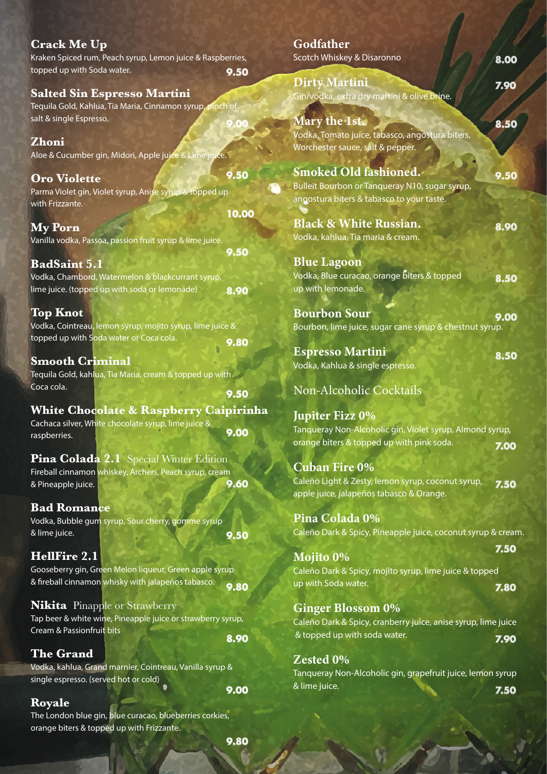| <b>Crack Me Up</b>                                          |       | Godfather                                                     |      |
|-------------------------------------------------------------|-------|---------------------------------------------------------------|------|
| Kraken Spiced rum, Peach syrup, Lemon juice & Raspberries,  |       | Scotch Whiskey & Disaronno                                    | 8.00 |
| topped up with Soda water.                                  | 9.50  |                                                               |      |
|                                                             |       | <b>Dirty Martini</b>                                          | 7.90 |
| <b>Salted Sin Espresso Martini</b>                          |       | Gin/vodka, extra dry martini & olive brine.                   |      |
| Tequila Gold, Kahlua, Tia Maria, Cinnamon syrup, pinch of   |       |                                                               |      |
| salt & single Espresso.                                     |       | <b>Mary the 1st.</b>                                          | 8.50 |
| Zhoni                                                       |       | Vodka, Tomato juice, tabasco, angostura biters,               |      |
|                                                             |       | Worchester sauce, salt & pepper.                              |      |
| Aloe & Cucumber gin, Midori, Apple juice & Lime juice.      |       |                                                               |      |
| <b>Oro Violette</b>                                         | 9.50  | Smoked Old fashioned.                                         | 9.50 |
| Parma Violet gin, Violet syrup, Anise syrup & topped up     |       | Bulleit Bourbon or Tanqueray N10, sugar syrup,                |      |
| with Frizzante.                                             |       | angostura biters & tabasco to your taste.                     |      |
|                                                             | 10.00 |                                                               |      |
| <b>My Porn</b>                                              |       | <b>Black &amp; White Russian.</b>                             | 8.90 |
| Vanilla vodka, Passoa, passion fruit syrup & lime juice.    |       | Vodka, kahlua, Tia maria & cream.                             |      |
|                                                             | 9.50  |                                                               |      |
| <b>BadSaint 5.1</b>                                         |       | <b>Blue Lagoon</b>                                            |      |
| Vodka, Chambord, Watermelon & blackcurrant syrup,           |       | Vodka, Blue curacao, orange biters & topped                   | 8.50 |
| lime juice. (topped up with soda or lemonade)               | 8.90  | up with lemonade.                                             |      |
|                                                             |       |                                                               |      |
| <b>Top Knot</b>                                             |       | <b>Bourbon Sour</b>                                           | 9.00 |
| Vodka, Cointreau, lemon syrup, mojito syrup, lime juice &   |       | Bourbon, lime juice, sugar cane syrup & chestnut syrup.       |      |
| topped up with Soda water or Coca cola.                     | 9.80  |                                                               |      |
| <b>Smooth Criminal</b>                                      |       | <b>Espresso Martini</b>                                       | 8.50 |
| Tequila Gold, kahlua, Tia Maria, cream & topped up with     |       | Vodka, Kahlua & single espresso.                              |      |
| Coca cola.                                                  |       |                                                               |      |
|                                                             | 9.50  | Non-Alcoholic Cocktails                                       |      |
| <b>White Chocolate &amp; Raspberry Caipirinha</b>           |       |                                                               |      |
| Cachaca silver, White chocolate syrup, lime juice &         |       | <b>Jupiter Fizz 0%</b>                                        |      |
| raspberries.                                                | 9.00  | Tanqueray Non-Alcoholic gin, Violet syrup, Almond syrup,      |      |
|                                                             |       | orange biters & topped up with pink soda.                     | 7.00 |
| Pina Colada 2.1 Special Winter Edition                      |       |                                                               |      |
| Fireball cinnamon whiskey, Archers, Peach syrup, cream      |       | <b>Cuban Fire 0%</b>                                          |      |
| & Pineapple juice.                                          | 9.60  | Caleño Light & Zesty, lemon syrup, coconut syrup,             | Z.50 |
|                                                             |       | apple juice, jalapeños tabasco & Orange.                      |      |
| <b>Bad Romance</b>                                          |       |                                                               |      |
| Vodka, Bubble gum syrup, Sour cherry, gomme syrup           |       | Pina Colada 0%                                                |      |
| & lime juice.                                               | 9.50  | Caleño Dark & Spicy, Pineapple juice, coconut syrup & crear   |      |
| HellFire 2.1                                                |       |                                                               | 7.50 |
| Gooseberry gin, Green Melon liqueur, Green apple syrup      |       | <b>Mojito 0%</b>                                              |      |
| & fireball cinnamon whisky with jalapeños tabasco.          |       | Caleño Dark & Spicy, mojito syrup, lime juice & topped        |      |
|                                                             | 9.80  | up with Soda water.                                           | 7.80 |
| <b>Nikita</b> Pinapple or Strawberry                        |       | <b>Ginger Blossom 0%</b>                                      |      |
| Tap beer & white wine, Pineapple juice or strawberry syrup, |       | Caleño Dark & Spicy, cranberry juice, anise syrup, lime juice |      |
| Cream & Passionfruit bits                                   |       | & topped up with soda water.                                  |      |
|                                                             | 8.90  |                                                               | 7.90 |
| <b>The Grand</b>                                            |       | Zested 0%                                                     |      |
| Vodka, kahlua, Grand marnier, Cointreau, Vanilla syrup &    |       | Tanqueray Non-Alcoholic gin, grapefruit juice, lemon syrup    |      |
| single espresso. (served hot or cold)                       |       | & lime juice.                                                 |      |
|                                                             | 9.00  |                                                               | 7.50 |

up & cream.

## **Royale**

The London blue gin, blue curacao, blueberries corkies, orange biters & topped up with Frizzante.